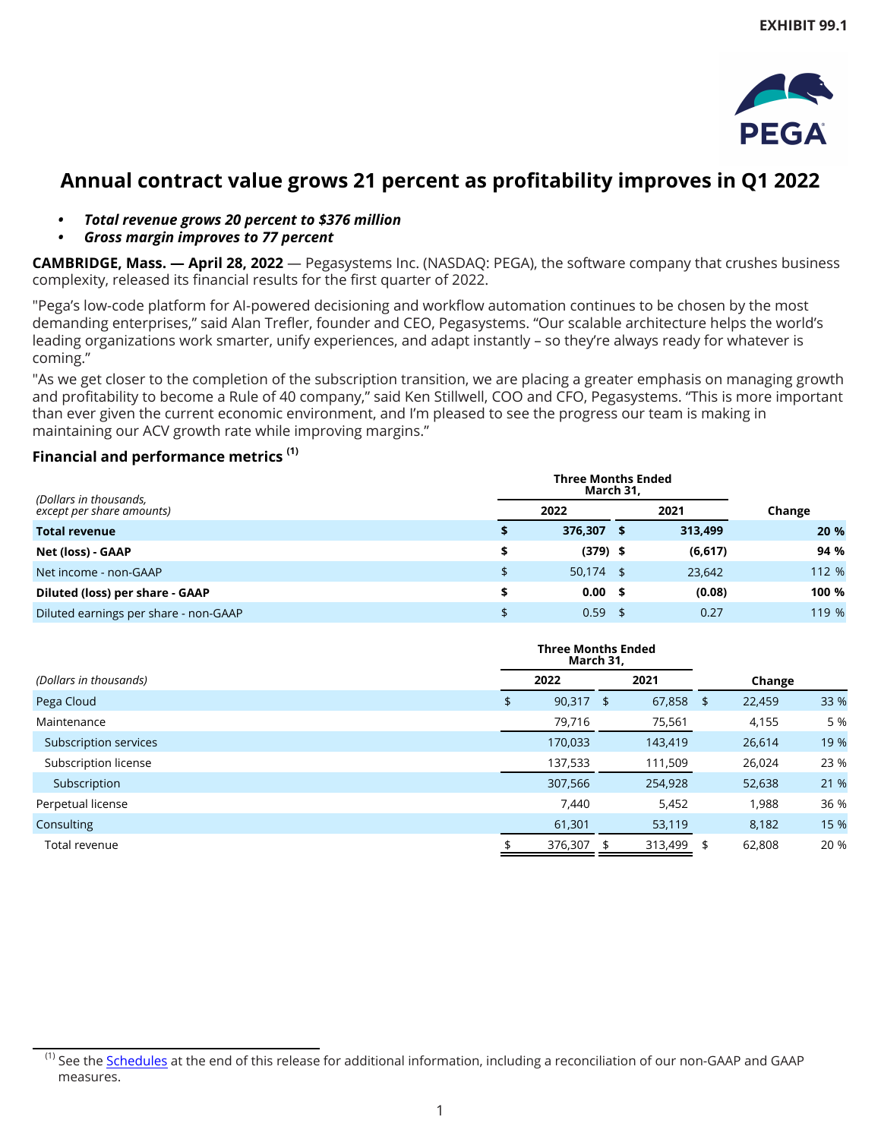

# **Annual contract value grows 21 percent as profitability improves in Q1 2022**

- *• Total revenue grows 20 percent to \$376 million*
- *• Gross margin improves to 77 percent*

**CAMBRIDGE, Mass. — April 28, 2022** — Pegasystems Inc. (NASDAQ: PEGA), the software company that crushes business complexity, released its financial results for the first quarter of 2022.

"Pega's low-code platform for AI-powered decisioning and workflow automation continues to be chosen by the most demanding enterprises," said Alan Trefler, founder and CEO, Pegasystems. "Our scalable architecture helps the world's leading organizations work smarter, unify experiences, and adapt instantly – so they're always ready for whatever is coming."

"As we get closer to the completion of the subscription transition, we are placing a greater emphasis on managing growth and profitability to become a Rule of 40 company," said Ken Stillwell, COO and CFO, Pegasystems. "This is more important than ever given the current economic environment, and I'm pleased to see the progress our team is making in maintaining our ACV growth rate while improving margins."

## **Financial and performance metrics (1)**

|                                                     |  | <b>Three Months Ended</b><br>March 31, |  |          |        |
|-----------------------------------------------------|--|----------------------------------------|--|----------|--------|
| (Dollars in thousands,<br>except per share amounts) |  | 2022                                   |  | 2021     | Change |
| <b>Total revenue</b>                                |  | 376.307 \$                             |  | 313,499  | 20 %   |
| Net (loss) - GAAP                                   |  | $(379)$ \$                             |  | (6, 617) | 94 %   |
| Net income - non-GAAP                               |  | $50,174$ \$                            |  | 23.642   | 112 %  |
| Diluted (loss) per share - GAAP                     |  | $0.00 \quad$ \$                        |  | (0.08)   | 100 %  |
| Diluted earnings per share - non-GAAP               |  | $0.59$ \$                              |  | 0.27     | 119 %  |

|                        | <b>Three Months Ended</b><br>March 31, |         |    |         |      |        |      |
|------------------------|----------------------------------------|---------|----|---------|------|--------|------|
| (Dollars in thousands) |                                        | 2022    |    | 2021    |      | Change |      |
| Pega Cloud             | \$                                     | 90,317  | \$ | 67,858  | - \$ | 22,459 | 33 % |
| Maintenance            |                                        | 79,716  |    | 75,561  |      | 4,155  | 5 %  |
| Subscription services  |                                        | 170,033 |    | 143,419 |      | 26,614 | 19 % |
| Subscription license   |                                        | 137,533 |    | 111,509 |      | 26,024 | 23 % |
| Subscription           |                                        | 307,566 |    | 254,928 |      | 52,638 | 21 % |
| Perpetual license      |                                        | 7,440   |    | 5,452   |      | 1,988  | 36 % |
| Consulting             |                                        | 61,301  |    | 53,119  |      | 8,182  | 15 % |
| Total revenue          |                                        | 376,307 |    | 313,499 | -\$  | 62,808 | 20 % |

<sup>&</sup>lt;sup>(1)</sup> See the [Schedules](#page-4-0) at the end of this release for additional information, including a reconciliation of our non-GAAP and GAAP measures.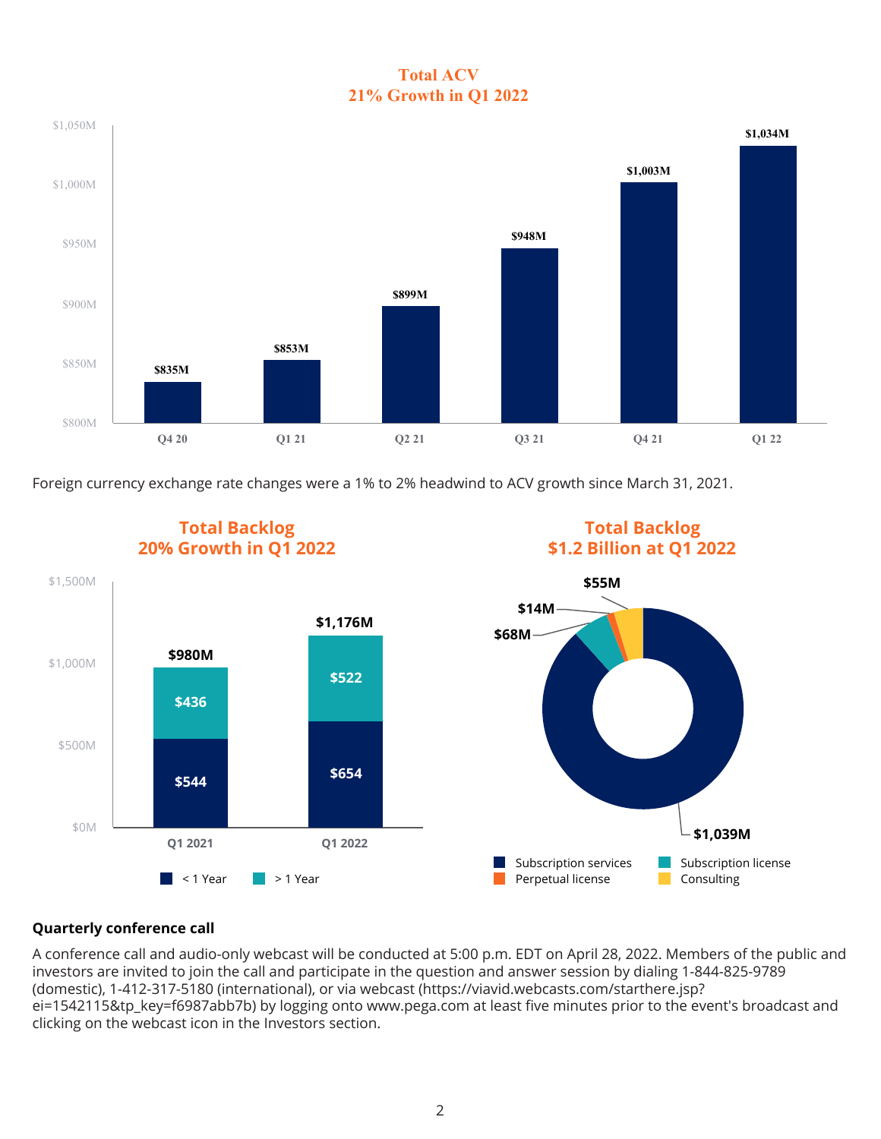## **Total ACV 21% Growth in Q1 2022**



Foreign currency exchange rate changes were a 1% to 2% headwind to ACV growth since March 31, 2021.



## **Quarterly conference call**

A conference call and audio-only webcast will be conducted at 5:00 p.m. EDT on April 28, 2022. Members of the public and investors are invited to join the call and participate in the question and answer session by dialing 1-844-825-9789 (domestic), 1-412-317-5180 (international), or via webcast (https://viavid.webcasts.com/starthere.jsp? ei=1542115&tp\_key=f6987abb7b) by logging onto www.pega.com at least five minutes prior to the event's broadcast and clicking on the webcast icon in the Investors section.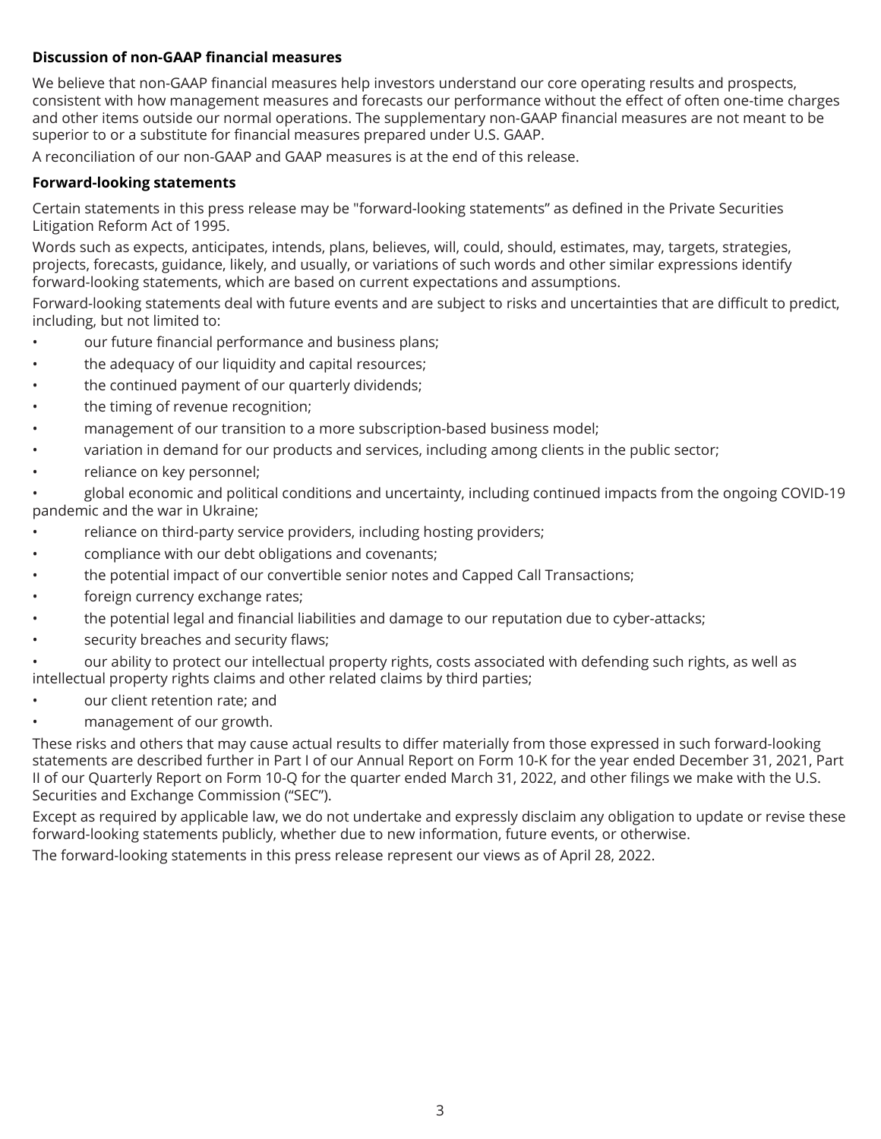### **Discussion of non-GAAP financial measures**

We believe that non-GAAP financial measures help investors understand our core operating results and prospects, consistent with how management measures and forecasts our performance without the effect of often one-time charges and other items outside our normal operations. The supplementary non-GAAP financial measures are not meant to be superior to or a substitute for financial measures prepared under U.S. GAAP.

A reconciliation of our non-GAAP and GAAP measures is at the end of this release.

#### **Forward-looking statements**

Certain statements in this press release may be "forward-looking statements" as defined in the Private Securities Litigation Reform Act of 1995.

Words such as expects, anticipates, intends, plans, believes, will, could, should, estimates, may, targets, strategies, projects, forecasts, guidance, likely, and usually, or variations of such words and other similar expressions identify forward-looking statements, which are based on current expectations and assumptions.

Forward-looking statements deal with future events and are subject to risks and uncertainties that are difficult to predict, including, but not limited to:

- our future financial performance and business plans;
- the adequacy of our liquidity and capital resources;
- the continued payment of our quarterly dividends;
- the timing of revenue recognition;
- management of our transition to a more subscription-based business model;
- variation in demand for our products and services, including among clients in the public sector;
- reliance on key personnel;

• global economic and political conditions and uncertainty, including continued impacts from the ongoing COVID-19 pandemic and the war in Ukraine;

- reliance on third-party service providers, including hosting providers;
- compliance with our debt obligations and covenants;
- the potential impact of our convertible senior notes and Capped Call Transactions;
- foreign currency exchange rates;
- the potential legal and financial liabilities and damage to our reputation due to cyber-attacks;
- security breaches and security flaws;

• our ability to protect our intellectual property rights, costs associated with defending such rights, as well as intellectual property rights claims and other related claims by third parties;

- our client retention rate; and
- management of our growth.

These risks and others that may cause actual results to differ materially from those expressed in such forward-looking statements are described further in Part I of our Annual Report on Form 10-K for the year ended December 31, 2021, Part II of our Quarterly Report on Form 10-Q for the quarter ended March 31, 2022, and other filings we make with the U.S. Securities and Exchange Commission ("SEC").

Except as required by applicable law, we do not undertake and expressly disclaim any obligation to update or revise these forward-looking statements publicly, whether due to new information, future events, or otherwise.

The forward-looking statements in this press release represent our views as of April 28, 2022.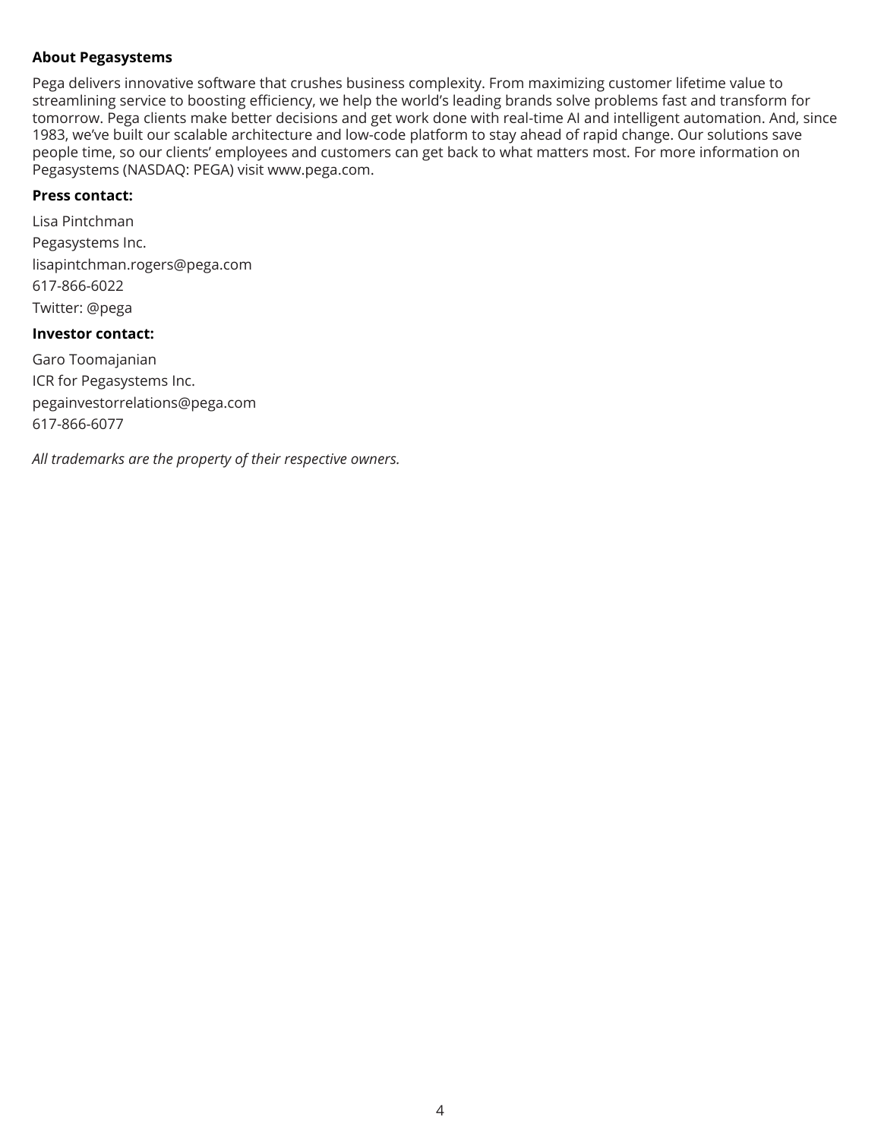#### **About Pegasystems**

Pega delivers innovative software that crushes business complexity. From maximizing customer lifetime value to streamlining service to boosting efficiency, we help the world's leading brands solve problems fast and transform for tomorrow. Pega clients make better decisions and get work done with real-time AI and intelligent automation. And, since 1983, we've built our scalable architecture and low-code platform to stay ahead of rapid change. Our solutions save people time, so our clients' employees and customers can get back to what matters most. For more information on Pegasystems (NASDAQ: PEGA) visit www.pega.com.

### **Press contact:**

Lisa Pintchman Pegasystems Inc. lisapintchman.rogers@pega.com 617-866-6022 Twitter: @pega

#### **Investor contact:**

Garo Toomajanian ICR for Pegasystems Inc. pegainvestorrelations@pega.com 617-866-6077

*All trademarks are the property of their respective owners.*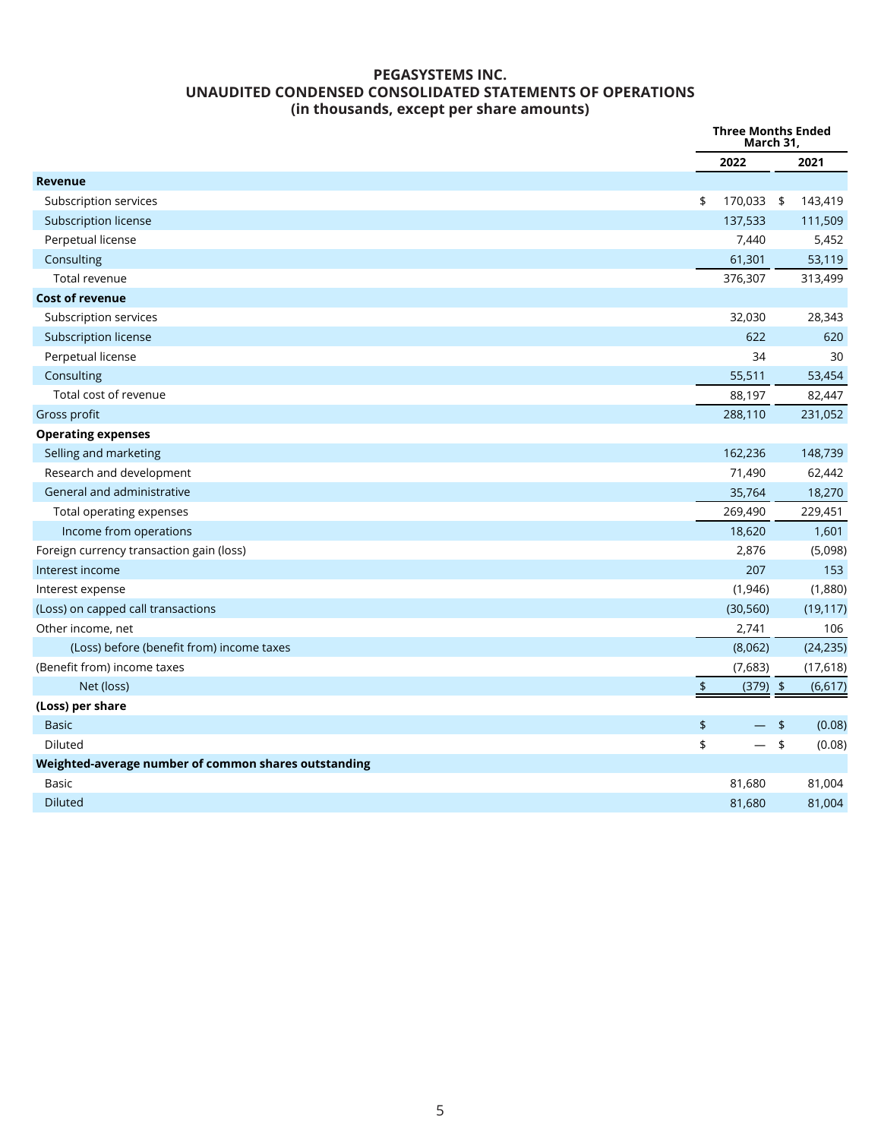### **PEGASYSTEMS INC. UNAUDITED CONDENSED CONSOLIDATED STATEMENTS OF OPERATIONS (in thousands, except per share amounts)**

<span id="page-4-0"></span>

|                                                      |                                | <b>Three Months Ended</b><br>March 31, |
|------------------------------------------------------|--------------------------------|----------------------------------------|
|                                                      | 2022                           | 2021                                   |
| <b>Revenue</b>                                       |                                |                                        |
| Subscription services                                | 170,033 \$<br>\$               | 143,419                                |
| Subscription license                                 | 137,533                        | 111,509                                |
| Perpetual license                                    | 7,440                          | 5,452                                  |
| Consulting                                           | 61,301                         | 53,119                                 |
| Total revenue                                        | 376,307                        | 313,499                                |
| <b>Cost of revenue</b>                               |                                |                                        |
| Subscription services                                | 32,030                         | 28,343                                 |
| Subscription license                                 | 622                            | 620                                    |
| Perpetual license                                    | 34                             | 30                                     |
| Consulting                                           | 55,511                         | 53,454                                 |
| Total cost of revenue                                | 88,197                         | 82,447                                 |
| Gross profit                                         | 288,110                        | 231,052                                |
| <b>Operating expenses</b>                            |                                |                                        |
| Selling and marketing                                | 162,236                        | 148,739                                |
| Research and development                             | 71,490                         | 62,442                                 |
| General and administrative                           | 35,764                         | 18,270                                 |
| Total operating expenses                             | 269,490                        | 229,451                                |
| Income from operations                               | 18,620                         | 1,601                                  |
| Foreign currency transaction gain (loss)             | 2,876                          | (5,098)                                |
| Interest income                                      | 207                            | 153                                    |
| Interest expense                                     | (1,946)                        | (1,880)                                |
| (Loss) on capped call transactions                   | (30, 560)                      | (19, 117)                              |
| Other income, net                                    | 2,741                          | 106                                    |
| (Loss) before (benefit from) income taxes            | (8,062)                        | (24, 235)                              |
| (Benefit from) income taxes                          | (7,683)                        | (17,618)                               |
| Net (loss)                                           | $\frac{1}{2}$<br>$(379)$ \$    | (6, 617)                               |
| (Loss) per share                                     |                                |                                        |
| <b>Basic</b>                                         | \$<br>$\overline{\phantom{0}}$ | \$<br>(0.08)                           |
| Diluted                                              | \$<br>$\equiv$                 | \$<br>(0.08)                           |
| Weighted-average number of common shares outstanding |                                |                                        |
| <b>Basic</b>                                         | 81,680                         | 81,004                                 |
| <b>Diluted</b>                                       | 81,680                         | 81,004                                 |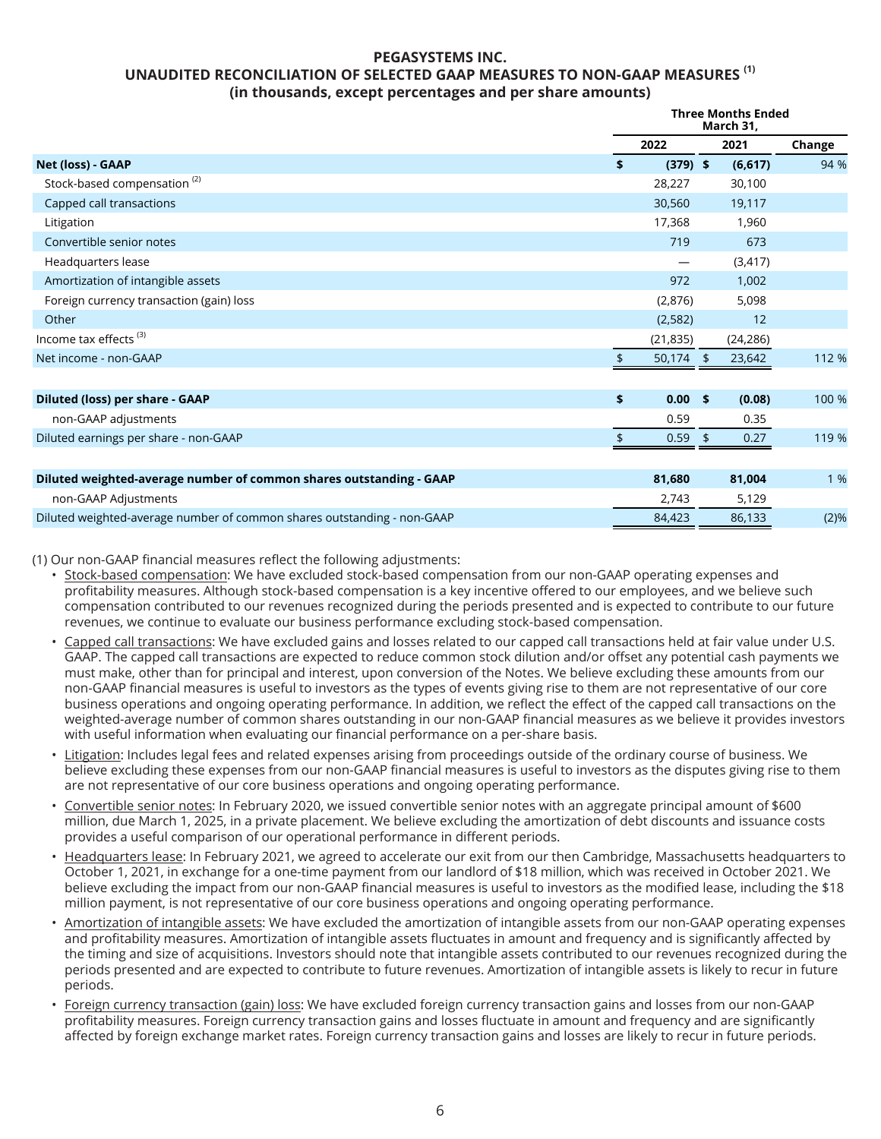#### **PEGASYSTEMS INC. UNAUDITED RECONCILIATION OF SELECTED GAAP MEASURES TO NON-GAAP MEASURES (1) (in thousands, except percentages and per share amounts)**

|                                                                         | <b>Three Months Ended</b><br>March 31, |                |  |           |        |
|-------------------------------------------------------------------------|----------------------------------------|----------------|--|-----------|--------|
|                                                                         |                                        | 2022           |  | 2021      | Change |
| Net (loss) - GAAP                                                       | \$                                     | $(379)$ \$     |  | (6, 617)  | 94 %   |
| Stock-based compensation <sup>(2)</sup>                                 |                                        | 28,227         |  | 30,100    |        |
| Capped call transactions                                                |                                        | 30,560         |  | 19,117    |        |
| Litigation                                                              |                                        | 17,368         |  | 1,960     |        |
| Convertible senior notes                                                |                                        | 719            |  | 673       |        |
| Headquarters lease                                                      |                                        |                |  | (3, 417)  |        |
| Amortization of intangible assets                                       |                                        | 972            |  | 1,002     |        |
| Foreign currency transaction (gain) loss                                |                                        | (2,876)        |  | 5,098     |        |
| Other                                                                   |                                        | (2,582)        |  | 12        |        |
| Income tax effects <sup>(3)</sup>                                       |                                        | (21, 835)      |  | (24, 286) |        |
| Net income - non-GAAP                                                   |                                        | 50,174 \$      |  | 23,642    | 112 %  |
|                                                                         |                                        |                |  |           |        |
| <b>Diluted (loss) per share - GAAP</b>                                  | \$                                     | $0.00 \quad $$ |  | (0.08)    | 100 %  |
| non-GAAP adjustments                                                    |                                        | 0.59           |  | 0.35      |        |
| Diluted earnings per share - non-GAAP                                   |                                        | 0.59           |  | 0.27      | 119 %  |
|                                                                         |                                        |                |  |           |        |
| Diluted weighted-average number of common shares outstanding - GAAP     |                                        | 81,680         |  | 81,004    | 1 %    |
| non-GAAP Adjustments                                                    |                                        | 2,743          |  | 5,129     |        |
| Diluted weighted-average number of common shares outstanding - non-GAAP |                                        | 84,423         |  | 86,133    | (2)%   |

(1) Our non-GAAP financial measures reflect the following adjustments:

- Stock-based compensation: We have excluded stock-based compensation from our non-GAAP operating expenses and profitability measures. Although stock-based compensation is a key incentive offered to our employees, and we believe such compensation contributed to our revenues recognized during the periods presented and is expected to contribute to our future revenues, we continue to evaluate our business performance excluding stock-based compensation.
- Capped call transactions: We have excluded gains and losses related to our capped call transactions held at fair value under U.S. GAAP. The capped call transactions are expected to reduce common stock dilution and/or offset any potential cash payments we must make, other than for principal and interest, upon conversion of the Notes. We believe excluding these amounts from our non-GAAP financial measures is useful to investors as the types of events giving rise to them are not representative of our core business operations and ongoing operating performance. In addition, we reflect the effect of the capped call transactions on the weighted-average number of common shares outstanding in our non-GAAP financial measures as we believe it provides investors with useful information when evaluating our financial performance on a per-share basis.
- Litigation: Includes legal fees and related expenses arising from proceedings outside of the ordinary course of business. We believe excluding these expenses from our non-GAAP financial measures is useful to investors as the disputes giving rise to them are not representative of our core business operations and ongoing operating performance.
- Convertible senior notes: In February 2020, we issued convertible senior notes with an aggregate principal amount of \$600 million, due March 1, 2025, in a private placement. We believe excluding the amortization of debt discounts and issuance costs provides a useful comparison of our operational performance in different periods.
- Headquarters lease: In February 2021, we agreed to accelerate our exit from our then Cambridge, Massachusetts headquarters to October 1, 2021, in exchange for a one-time payment from our landlord of \$18 million, which was received in October 2021. We believe excluding the impact from our non-GAAP financial measures is useful to investors as the modified lease, including the \$18 million payment, is not representative of our core business operations and ongoing operating performance.
- Amortization of intangible assets: We have excluded the amortization of intangible assets from our non-GAAP operating expenses and profitability measures. Amortization of intangible assets fluctuates in amount and frequency and is significantly affected by the timing and size of acquisitions. Investors should note that intangible assets contributed to our revenues recognized during the periods presented and are expected to contribute to future revenues. Amortization of intangible assets is likely to recur in future periods.
- Foreign currency transaction (gain) loss: We have excluded foreign currency transaction gains and losses from our non-GAAP profitability measures. Foreign currency transaction gains and losses fluctuate in amount and frequency and are significantly affected by foreign exchange market rates. Foreign currency transaction gains and losses are likely to recur in future periods.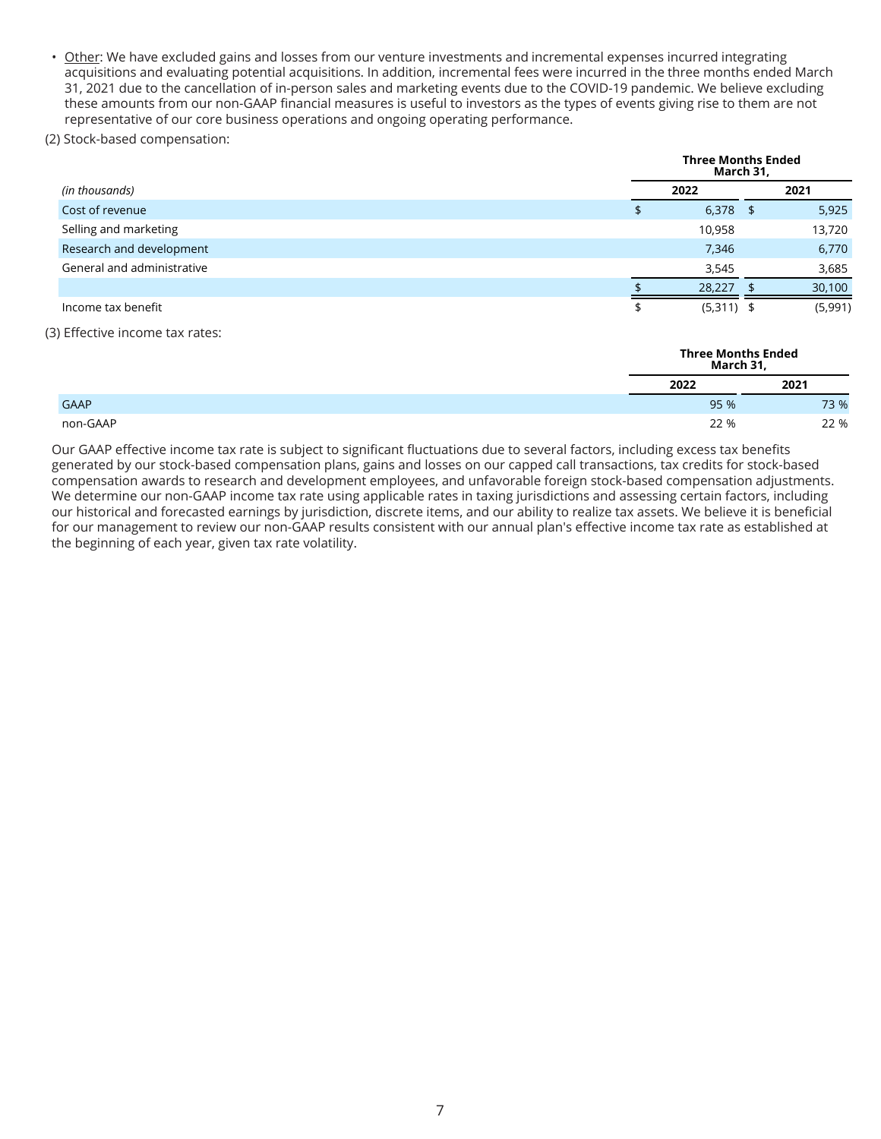• Other: We have excluded gains and losses from our venture investments and incremental expenses incurred integrating acquisitions and evaluating potential acquisitions. In addition, incremental fees were incurred in the three months ended March 31, 2021 due to the cancellation of in-person sales and marketing events due to the COVID-19 pandemic. We believe excluding these amounts from our non-GAAP financial measures is useful to investors as the types of events giving rise to them are not representative of our core business operations and ongoing operating performance.

#### (2) Stock-based compensation:

|                            | <b>Three Months Ended</b><br>March 31, |    |         |  |  |  |  |  |
|----------------------------|----------------------------------------|----|---------|--|--|--|--|--|
| (in thousands)             | 2022                                   |    | 2021    |  |  |  |  |  |
| Cost of revenue            | 6,378                                  | \$ | 5,925   |  |  |  |  |  |
| Selling and marketing      | 10,958                                 |    | 13,720  |  |  |  |  |  |
| Research and development   | 7,346                                  |    | 6,770   |  |  |  |  |  |
| General and administrative | 3,545                                  |    | 3,685   |  |  |  |  |  |
|                            | 28.227                                 |    | 30,100  |  |  |  |  |  |
| Income tax benefit         | $(5,311)$ \$                           |    | (5,991) |  |  |  |  |  |

#### (3) Effective income tax rates:

| <b>Three Months Ended</b><br>March 31, |      |
|----------------------------------------|------|
| 2022                                   | 2021 |
| 95 %                                   | 73 % |
| 22 %                                   | 22 % |

Our GAAP effective income tax rate is subject to significant fluctuations due to several factors, including excess tax benefits generated by our stock-based compensation plans, gains and losses on our capped call transactions, tax credits for stock-based compensation awards to research and development employees, and unfavorable foreign stock-based compensation adjustments. We determine our non-GAAP income tax rate using applicable rates in taxing jurisdictions and assessing certain factors, including our historical and forecasted earnings by jurisdiction, discrete items, and our ability to realize tax assets. We believe it is beneficial for our management to review our non-GAAP results consistent with our annual plan's effective income tax rate as established at the beginning of each year, given tax rate volatility.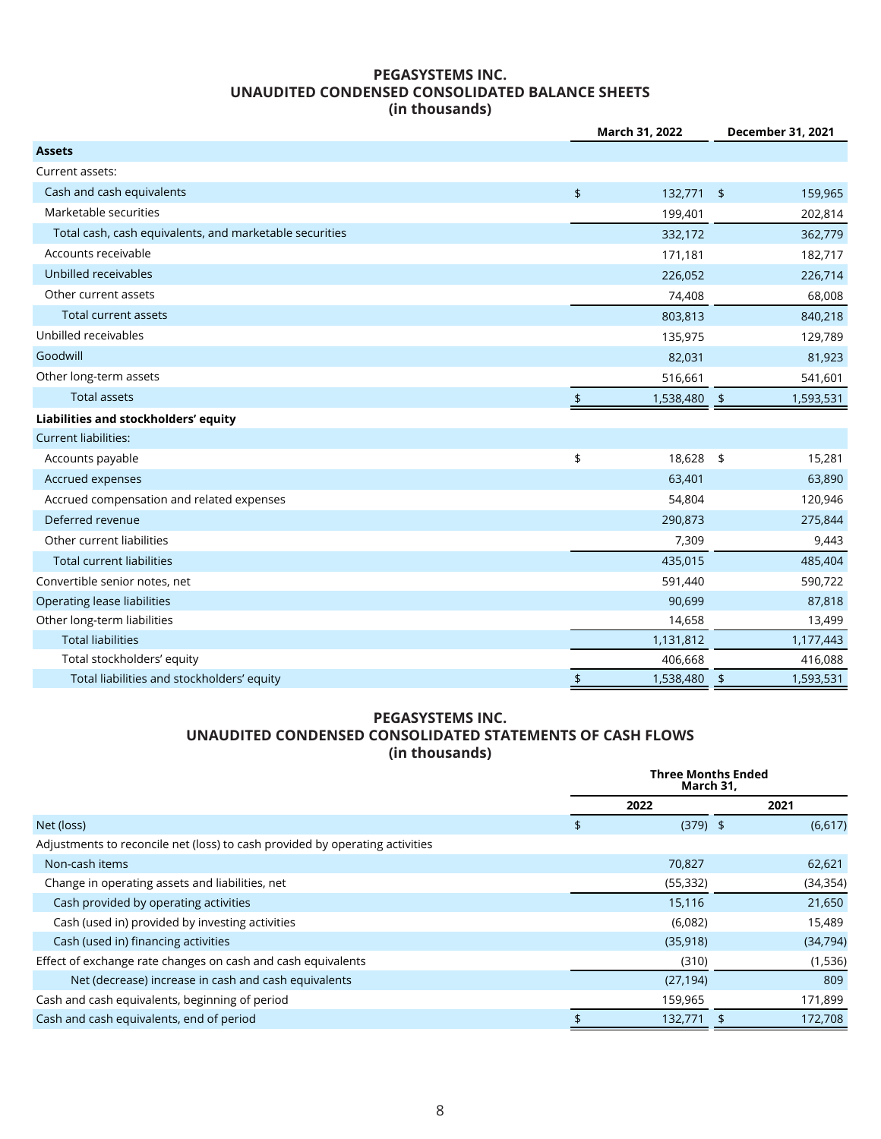#### **PEGASYSTEMS INC. UNAUDITED CONDENSED CONSOLIDATED BALANCE SHEETS (in thousands)**

|                                                         |               | March 31, 2022 |               | December 31, 2021 |
|---------------------------------------------------------|---------------|----------------|---------------|-------------------|
| <b>Assets</b>                                           |               |                |               |                   |
| Current assets:                                         |               |                |               |                   |
| Cash and cash equivalents                               | $\frac{1}{2}$ | 132,771        | $\frac{1}{2}$ | 159,965           |
| Marketable securities                                   |               | 199,401        |               | 202,814           |
| Total cash, cash equivalents, and marketable securities |               | 332,172        |               | 362,779           |
| Accounts receivable                                     |               | 171,181        |               | 182,717           |
| Unbilled receivables                                    |               | 226,052        |               | 226,714           |
| Other current assets                                    |               | 74,408         |               | 68,008            |
| <b>Total current assets</b>                             |               | 803,813        |               | 840,218           |
| Unbilled receivables                                    |               | 135,975        |               | 129,789           |
| Goodwill                                                |               | 82,031         |               | 81,923            |
| Other long-term assets                                  |               | 516,661        |               | 541,601           |
| <b>Total assets</b>                                     | \$            | 1,538,480      | $\sqrt{2}$    | 1,593,531         |
| Liabilities and stockholders' equity                    |               |                |               |                   |
| <b>Current liabilities:</b>                             |               |                |               |                   |
| Accounts payable                                        | \$            | 18,628 \$      |               | 15,281            |
| Accrued expenses                                        |               | 63,401         |               | 63,890            |
| Accrued compensation and related expenses               |               | 54,804         |               | 120,946           |
| Deferred revenue                                        |               | 290,873        |               | 275,844           |
| Other current liabilities                               |               | 7,309          |               | 9,443             |
| <b>Total current liabilities</b>                        |               | 435,015        |               | 485,404           |
| Convertible senior notes, net                           |               | 591,440        |               | 590,722           |
| <b>Operating lease liabilities</b>                      |               | 90,699         |               | 87,818            |
| Other long-term liabilities                             |               | 14,658         |               | 13,499            |
| <b>Total liabilities</b>                                |               | 1,131,812      |               | 1,177,443         |
| Total stockholders' equity                              |               | 406,668        |               | 416,088           |
| Total liabilities and stockholders' equity              | $\frac{1}{2}$ | 1,538,480      | $\frac{1}{2}$ | 1,593,531         |

#### **PEGASYSTEMS INC. UNAUDITED CONDENSED CONSOLIDATED STATEMENTS OF CASH FLOWS (in thousands)**

|                                                                              | <b>Three Months Ended</b><br>March 31, |           |
|------------------------------------------------------------------------------|----------------------------------------|-----------|
|                                                                              | 2022                                   | 2021      |
| Net (loss)                                                                   | \$<br>$(379)$ \$                       | (6,617)   |
| Adjustments to reconcile net (loss) to cash provided by operating activities |                                        |           |
| Non-cash items                                                               | 70,827                                 | 62,621    |
| Change in operating assets and liabilities, net                              | (55, 332)                              | (34, 354) |
| Cash provided by operating activities                                        | 15,116                                 | 21,650    |
| Cash (used in) provided by investing activities                              | (6,082)                                | 15,489    |
| Cash (used in) financing activities                                          | (35, 918)                              | (34, 794) |
| Effect of exchange rate changes on cash and cash equivalents                 | (310)                                  | (1,536)   |
| Net (decrease) increase in cash and cash equivalents                         | (27, 194)                              | 809       |
| Cash and cash equivalents, beginning of period                               | 159,965                                | 171,899   |
| Cash and cash equivalents, end of period                                     | 132,771                                | 172,708   |